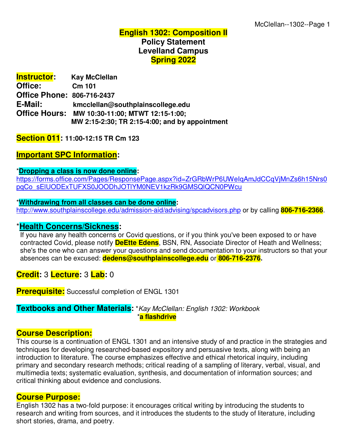# **English 1302: Composition II Policy Statement Levelland Campus Spring 2022**

| <b>Instructor:</b>                | <b>Kay McClellan</b>                           |
|-----------------------------------|------------------------------------------------|
| Office:                           | Cm 101                                         |
| <b>Office Phone: 806-716-2437</b> |                                                |
| E-Mail:                           | kmcclellan@southplainscollege.edu              |
|                                   | Office Hours: MW 10:30-11:00; MTWT 12:15-1:00; |
|                                   | MW 2:15-2:30; TR 2:15-4:00; and by appointment |

**Section 011: 11:00-12:15 TR Cm 123**

# **Important SPC Information:**

#### \***Dropping a class is now done online:**

https://forms.office.com/Pages/ResponsePage.aspx?id=ZrGRbWrP6UWeIqAmJdCCqVjMnZs6h15Nrs0 pqCo\_sElUODExTUFXS0JOODhJOTlYM0NEV1kzRk9GMSQlQCN0PWcu

#### \***Withdrawing from all classes can be done online:**

http://www.southplainscollege.edu/admission-aid/advising/spcadvisors.php or by calling **806-716-2366**.

# \***Health Concerns/Sickness:**

 If you have any health concerns or Covid questions, or if you think you've been exposed to or have contracted Covid, please notify **DeEtte Edens**, BSN, RN, Associate Director of Heath and Wellness; she's the one who can answer your questions and send documentation to your instructors so that your absences can be excused: **dedens@southplainscollege.edu** or **806-716-2376.**

# **Credit:** 3 **Lecture:** 3 **Lab:** 0

**Prerequisite:** Successful completion of ENGL 1301

#### **Textbooks and Other Materials:** \**Kay McClellan: English 1302: Workbook*  \***a flashdrive**

# **Course Description:**

This course is a continuation of ENGL 1301 and an intensive study of and practice in the strategies and techniques for developing researched-based expository and persuasive texts, along with being an introduction to literature. The course emphasizes effective and ethical rhetorical inquiry, including primary and secondary research methods; critical reading of a sampling of literary, verbal, visual, and multimedia texts; systematic evaluation, synthesis, and documentation of information sources; and critical thinking about evidence and conclusions.

#### **Course Purpose:**

English 1302 has a two-fold purpose: it encourages critical writing by introducing the students to research and writing from sources, and it introduces the students to the study of literature, including short stories, drama, and poetry.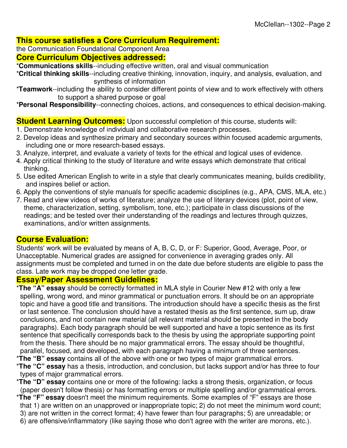# **This course satisfies a Core Curriculum Requirement:**

the Communication Foundational Component Area

## **Core Curriculum Objectives addressed:**

\***Communications skills**--including effective written, oral and visual communication

\***Critical thinking skills**--including creative thinking, innovation, inquiry, and analysis, evaluation, and synthesis of information

\***Teamwork**--including the ability to consider different points of view and to work effectively with others to support a shared purpose or goal

\***Personal Responsibility**--connecting choices, actions, and consequences to ethical decision-making.

# **Student Learning Outcomes:** Upon successful completion of this course, students will:

- 1. Demonstrate knowledge of individual and collaborative research processes.
- 2. Develop ideas and synthesize primary and secondary sources within focused academic arguments, including one or more research-based essays.
- 3. Analyze, interpret, and evaluate a variety of texts for the ethical and logical uses of evidence.
- 4. Apply critical thinking to the study of literature and write essays which demonstrate that critical thinking.
- 5. Use edited American English to write in a style that clearly communicates meaning, builds credibility, and inspires belief or action.
- 6. Apply the conventions of style manuals for specific academic disciplines (e.g., APA, CMS, MLA, etc.)
- 7. Read and view videos of works of literature; analyze the use of literary devices (plot, point of view, theme, characterization, setting, symbolism, tone, etc.); participate in class discussions of the readings; and be tested over their understanding of the readings and lectures through quizzes, examinations, and/or written assignments.

# **Course Evaluation:**

Students' work will be evaluated by means of A, B, C, D, or F: Superior, Good, Average, Poor, or Unacceptable. Numerical grades are assigned for convenience in averaging grades only. All assignments must be completed and turned in on the date due before students are eligible to pass the class. Late work may be dropped one letter grade.

#### **Essay/Paper Assessment Guidelines:**

\***The "A" essay** should be correctly formatted in MLA style in Courier New #12 with only a few spelling, wrong word, and minor grammatical or punctuation errors. It should be on an appropriate topic and have a good title and transitions. The introduction should have a specific thesis as the first or last sentence. The conclusion should have a restated thesis as the first sentence, sum up, draw conclusions, and not contain new material (all relevant material should be presented in the body paragraphs). Each body paragraph should be well supported and have a topic sentence as its first sentence that specifically corresponds back to the thesis by using the appropriate supporting point from the thesis. There should be no major grammatical errors. The essay should be thoughtful, parallel, focused, and developed, with each paragraph having a minimum of three sentences.

- \***The "B" essay** contains all of the above with one or two types of major grammatical errors.
- \***The "C" essay** has a thesis, introduction, and conclusion, but lacks support and/or has three to four types of major grammatical errors.
- \***The "D" essay** contains one or more of the following: lacks a strong thesis, organization, or focus (paper doesn't follow thesis) or has formatting errors or multiple spelling and/or grammatical errors.
- \***The "F" essay** doesn't meet the minimum requirements. Some examples of "F" essays are those that 1) are written on an unapproved or inappropriate topic; 2) do not meet the minimum word count;
- 3) are not written in the correct format; 4) have fewer than four paragraphs; 5) are unreadable; or
- 6) are offensive/inflammatory (like saying those who don't agree with the writer are morons, etc.).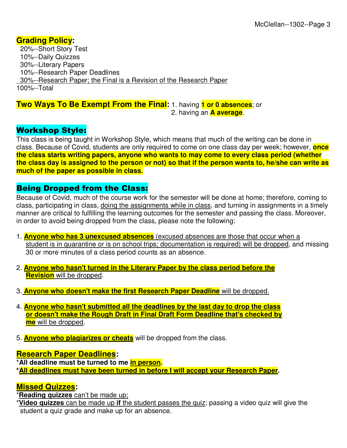# **Grading Policy:**

 20%--Short Story Test 10%--Daily Quizzes 30%--Literary Papers 10%--Research Paper Deadlines 30%--Research Paper; the Final is a Revision of the Research Paper 100%--Total

**Two Ways To Be Exempt From the Final:** 1. having **1 or 0 absences**; or 2. having an **A average**.

# Workshop Style:

This class is being taught in Workshop Style, which means that much of the writing can be done in class. Because of Covid, students are only required to come on one class day per week; however, **once the class starts writing papers, anyone who wants to may come to every class period (whether the class day is assigned to the person or not) so that if the person wants to, he/she can write as much of the paper as possible in class.**

# Being Dropped from the Class:

Because of Covid, much of the course work for the semester will be done at home; therefore, coming to class, participating in class, doing the assignments while in class, and turning in assignments in a timely manner are critical to fulfilling the learning outcomes for the semester and passing the class. Moreover, in order to avoid being dropped from the class, please note the following:

- 1. **Anyone who has 3 unexcused absences** (excused absences are those that occur when a student is in quarantine or is on school trips; documentation is required) will be dropped, and missing 30 or more minutes of a class period counts as an absence.
- 2. **Anyone who hasn't turned in the Literary Paper by the class period before the Revision** will be dropped.
- 3. **Anyone who doesn't make the first Research Paper Deadline** will be dropped.
- 4. **Anyone who hasn't submitted all the deadlines by the last day to drop the class or doesn't make the Rough Draft in Final Draft Form Deadline that's checked by me** will be dropped.
- 5. **Anyone who plagiarizes or cheats** will be dropped from the class.

# **Research Paper Deadlines:**

\***All deadline must be turned to me in person.**

**\*All deadlines must have been turned in before I will accept your Research Paper.** 

# **Missed Quizzes:**

\***Reading quizzes** can't be made up;

\***Video quizzes** can be made up **if** the student passes the quiz; passing a video quiz will give the student a quiz grade and make up for an absence.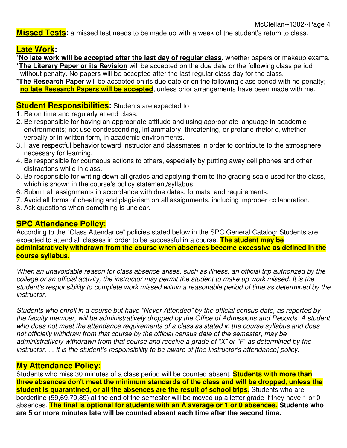**Missed Tests:** a missed test needs to be made up with a week of the student's return to class.

# **Late Work:**

- \***No late work will be accepted after the last day of regular class**, whether papers or makeup exams. \***The Literary Paper or its Revision** will be accepted on the due date or the following class period without penalty. No papers will be accepted after the last regular class day for the class.
- \***The Research Paper** will be accepted on its due date or on the following class period with no penalty; **no late Research Papers will be accepted**, unless prior arrangements have been made with me.

#### **Student Responsibilities:** Students are expected to

- 1. Be on time and regularly attend class.
- 2. Be responsible for having an appropriate attitude and using appropriate language in academic environments; not use condescending, inflammatory, threatening, or profane rhetoric, whether verbally or in written form, in academic environments.
- 3. Have respectful behavior toward instructor and classmates in order to contribute to the atmosphere necessary for learning.
- 4. Be responsible for courteous actions to others, especially by putting away cell phones and other distractions while in class.
- 5. Be responsible for writing down all grades and applying them to the grading scale used for the class, which is shown in the course's policy statement/syllabus.
- 6. Submit all assignments in accordance with due dates, formats, and requirements.
- 7. Avoid all forms of cheating and plagiarism on all assignments, including improper collaboration.
- 8. Ask questions when something is unclear.

# **SPC Attendance Policy:**

According to the "Class Attendance" policies stated below in the SPC General Catalog: Students are expected to attend all classes in order to be successful in a course. **The student may be administratively withdrawn from the course when absences become excessive as defined in the course syllabus.** 

*When an unavoidable reason for class absence arises, such as illness, an official trip authorized by the college or an official activity, the instructor may permit the student to make up work missed. It is the student's responsibility to complete work missed within a reasonable period of time as determined by the instructor.* 

*Students who enroll in a course but have "Never Attended" by the official census date, as reported by the faculty member, will be administratively dropped by the Office of Admissions and Records. A student who does not meet the attendance requirements of a class as stated in the course syllabus and does not officially withdraw from that course by the official census date of the semester, may be administratively withdrawn from that course and receive a grade of "X" or "F" as determined by the instructor. ... It is the student's responsibility to be aware of [the Instructor's attendance] policy.* 

# **My Attendance Policy:**

Students who miss 30 minutes of a class period will be counted absent. **Students with more than three absences don't meet the minimum standards of the class and will be dropped, unless the student is quarantined, or all the absences are the result of school trips.** Students who are borderline (59,69,79,89) at the end of the semester will be moved up a letter grade if they have 1 or 0 absences. **The final is optional for students with an A average or 1 or 0 absences. Students who are 5 or more minutes late will be counted absent each time after the second time.**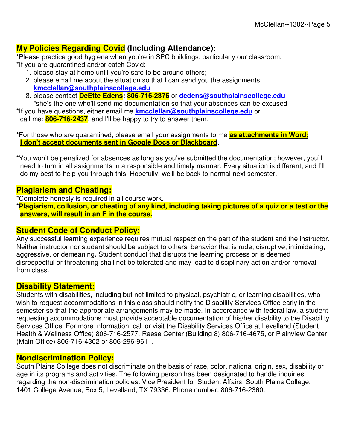# **My Policies Regarding Covid (Including Attendance):**

\*Please practice good hygiene when you're in SPC buildings, particularly our classroom. \*If you are quarantined and/or catch Covid:

- 1. please stay at home until you're safe to be around others;
- 2. please email me about the situation so that I can send you the assignments: **kmcclellan@southplainscollege.edu**
- 3. please contact **DeEtte Edens: 806-716-2376** or **dedens@southplainscollege.edu** \*she's the one who'll send me documentation so that your absences can be excused

\*If you have questions, either email me **kmcclellan@southplainscollege.edu** or call me: **806-716-2437**, and I'll be happy to try to answer them.

**\***For those who are quarantined, please email your assignments to me **as attachments in Word; I don't accept documents sent in Google Docs or Blackboard**.

\*You won't be penalized for absences as long as you've submitted the documentation; however, you'll need to turn in all assignments in a responsible and timely manner. Every situation is different, and I'll do my best to help you through this. Hopefully, we'll be back to normal next semester.

# **Plagiarism and Cheating:**

\*Complete honesty is required in all course work.

\***Plagiarism, collusion, or cheating of any kind, including taking pictures of a quiz or a test or the answers, will result in an F in the course.**

# **Student Code of Conduct Policy:**

Any successful learning experience requires mutual respect on the part of the student and the instructor. Neither instructor nor student should be subject to others' behavior that is rude, disruptive, intimidating, aggressive, or demeaning**.** Student conduct that disrupts the learning process or is deemed disrespectful or threatening shall not be tolerated and may lead to disciplinary action and/or removal from class.

# **Disability Statement:**

Students with disabilities, including but not limited to physical, psychiatric, or learning disabilities, who wish to request accommodations in this class should notify the Disability Services Office early in the semester so that the appropriate arrangements may be made. In accordance with federal law, a student requesting accommodations must provide acceptable documentation of his/her disability to the Disability Services Office. For more information, call or visit the Disability Services Office at Levelland (Student Health & Wellness Office) 806-716-2577, Reese Center (Building 8) 806-716-4675, or Plainview Center (Main Office) 806-716-4302 or 806-296-9611.

#### **Nondiscrimination Policy:**

South Plains College does not discriminate on the basis of race, color, national origin, sex, disability or age in its programs and activities. The following person has been designated to handle inquiries regarding the non-discrimination policies: Vice President for Student Affairs, South Plains College, 1401 College Avenue, Box 5, Levelland, TX 79336. Phone number: 806-716-2360.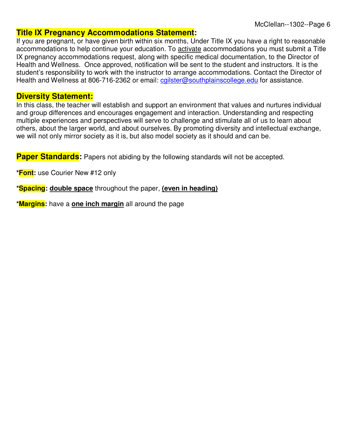# **Title IX Pregnancy Accommodations Statement:**

If you are pregnant, or have given birth within six months, Under Title IX you have a right to reasonable accommodations to help continue your education. To activate accommodations you must submit a Title IX pregnancy accommodations request, along with specific medical documentation, to the Director of Health and Wellness. Once approved, notification will be sent to the student and instructors. It is the student's responsibility to work with the instructor to arrange accommodations. Contact the Director of Health and Wellness at 806-716-2362 or email: cgilster@southplainscollege.edu for assistance.

## **Diversity Statement:**

In this class, the teacher will establish and support an environment that values and nurtures individual and group differences and encourages engagement and interaction. Understanding and respecting multiple experiences and perspectives will serve to challenge and stimulate all of us to learn about others, about the larger world, and about ourselves. By promoting diversity and intellectual exchange, we will not only mirror society as it is, but also model society as it should and can be.

**Paper Standards:** Papers not abiding by the following standards will not be accepted.

**\*Font:** use Courier New #12 only

**\*Spacing: double space** throughout the paper, **(even in heading)**

**\*Margins:** have a **one inch margin** all around the page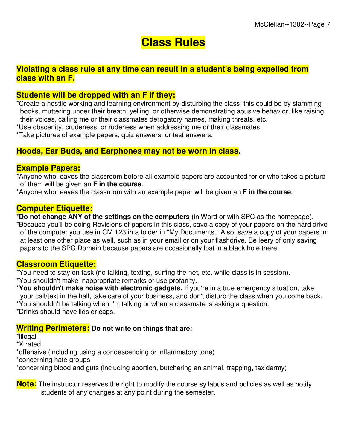# **Class Rules**

# **Violating a class rule at any time can result in a student's being expelled from class with an F.**

# **Students will be dropped with an F if they:**

\*Create a hostile working and learning environment by disturbing the class; this could be by slamming books, muttering under their breath, yelling, or otherwise demonstrating abusive behavior, like raising their voices, calling me or their classmates derogatory names, making threats, etc.

\*Use obscenity, crudeness, or rudeness when addressing me or their classmates.

\*Take pictures of example papers, quiz answers, or test answers.

# **Hoods, Ear Buds, and Earphones may not be worn in class.**

## **Example Papers:**

\*Anyone who leaves the classroom before all example papers are accounted for or who takes a picture of them will be given an **F in the course**.

\*Anyone who leaves the classroom with an example paper will be given an **F in the course**.

# **Computer Etiquette:**

\***Do not change ANY of the settings on the computers** (in Word or with SPC as the homepage). \*Because you'll be doing Revisions of papers in this class, save a copy of your papers on the hard drive of the computer you use in CM 123 in a folder in "My Documents." Also, save a copy of your papers in at least one other place as well, such as in your email or on your flashdrive. Be leery of only saving papers to the SPC Domain because papers are occasionally lost in a black hole there.

# **Classroom Etiquette:**

\*You need to stay on task (no talking, texting, surfing the net, etc. while class is in session). \*You shouldn't make inappropriate remarks or use profanity.

\***You shouldn't make noise with electronic gadgets.** If you're in a true emergency situation, take your call/text in the hall, take care of your business, and don't disturb the class when you come back.

\*You shouldn't be talking when I'm talking or when a classmate is asking a question.

\*Drinks should have lids or caps.

# **Writing Perimeters: Do not write on things that are:**

\*illegal

\*X rated

\*offensive (including using a condescending or inflammatory tone)

\*concerning hate groups

\*concerning blood and guts (including abortion, butchering an animal, trapping, taxidermy)

**Note:** The instructor reserves the right to modify the course syllabus and policies as well as notify students of any changes at any point during the semester.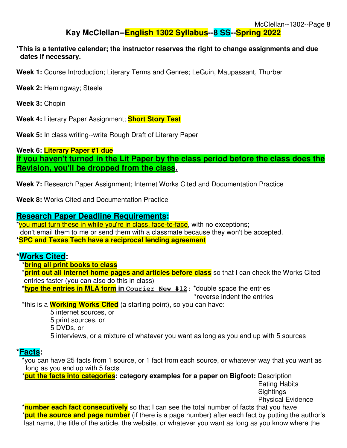# **Kay McClellan--English 1302 Syllabus--8 SS--Spring 2022**

#### **\*This is a tentative calendar; the instructor reserves the right to change assignments and due dates if necessary.**

**Week 1:** Course Introduction; Literary Terms and Genres; LeGuin, Maupassant, Thurber

**Week 2:** Hemingway; Steele

**Week 3:** Chopin

**Week 4:** Literary Paper Assignment; **Short Story Test**

**Week 5:** In class writing--write Rough Draft of Literary Paper

**Week 6: Literary Paper #1 due If you haven't turned in the Lit Paper by the class period before the class does the Revision, you'll be dropped from the class.**

**Week 7:** Research Paper Assignment; Internet Works Cited and Documentation Practice

**Week 8:** Works Cited and Documentation Practice

#### **Research Paper Deadline Requirements:**

\*you must turn these in while you're in class, face-to-face, with no exceptions; don't email them to me or send them with a classmate because they won't be accepted. **\*SPC and Texas Tech have a reciprocal lending agreement**

# **\*Works Cited:**

\***bring all print books to class**

 \***print out all internet home pages and articles before class** so that I can check the Works Cited entries faster (you can also do this in class)

 **\*type the entries in MLA form in Courier New #12:** \*double space the entries \*reverse indent the entries

\*this is a **Working Works Cited** (a starting point), so you can have:

5 internet sources, or

5 print sources, or

5 DVDs, or

5 interviews, or a mixture of whatever you want as long as you end up with 5 sources

# **\*Facts:**

 \*you can have 25 facts from 1 source, or 1 fact from each source, or whatever way that you want as long as you end up with 5 facts

\***put the facts into categories: category examples for a paper on Bigfoot:** Description

 Eating Habits Sightings Physical Evidence

 \***number each fact consecutively** so that I can see the total number of facts that you have \***put the source and page number** (if there is a page number) after each fact by putting the author's last name, the title of the article, the website, or whatever you want as long as you know where the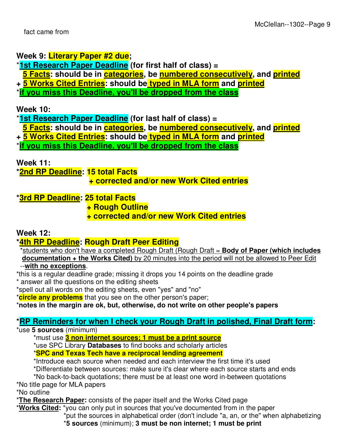# **Week 9: Literary Paper #2 due;**

\***1st Research Paper Deadline (for first half of class) =** 

 **5 Facts: should be in categories, be numbered consecutively, and printed**

**+ 5 Works Cited Entries: should be typed in MLA form and printed**

\***if you miss this Deadline, you'll be dropped from the class**

**Week 10:** 

\***1st Research Paper Deadline (for last half of class) =** 

 **5 Facts: should be in categories, be numbered consecutively, and printed**

**+ 5 Works Cited Entries: should be typed in MLA form and printed**

\***if you miss this Deadline, you'll be dropped from the class**

**Week 11:** 

**\*2nd RP Deadline: 15 total Facts** 

# **+ corrected and/or new Work Cited entries**

**\*3rd RP Deadline: 25 total Facts** 

 **+ Rough Outline** 

# **+ corrected and/or new Work Cited entries**

# **Week 12:**

# **\*4th RP Deadline: Rough Draft Peer Editing**

 \*students who don't have a completed Rough Draft (Rough Draft = **Body of Paper (which includes documentation + the Works Cited)** by 20 minutes into the period will not be allowed to Peer Edit --**with no exceptions**.

\*this is a regular deadline grade; missing it drops you 14 points on the deadline grade

\* answer all the questions on the editing sheets

\*spell out all words on the editing sheets, even "yes" and "no"

\***circle any problems** that you see on the other person's paper;

# \***notes in the margin are ok, but, otherwise, do not write on other people's papers**

# **\*RP Reminders for when I check your Rough Draft in polished, Final Draft form:**

#### \*use **5 sources** (minimum)

\*must use **3 non internet sources; 1 must be a print source**

\*use SPC Library **Databases** to find books and scholarly articles

\***SPC and Texas Tech have a reciprocal lending agreement**

\*Introduce each source when needed and each interview the first time it's used

\*Differentiate between sources: make sure it's clear where each source starts and ends

\*No back-to-back quotations; there must be at least one word in-between quotations

\*No title page for MLA papers

\*No outline

\***The Research Paper:** consists of the paper itself and the Works Cited page

\***Works Cited:** \*you can only put in sources that you've documented from in the paper \*put the sources in alphabetical order (don't include "a, an, or the" when alphabetizing \***5 sources** (minimum); **3 must be non internet; 1 must be print**